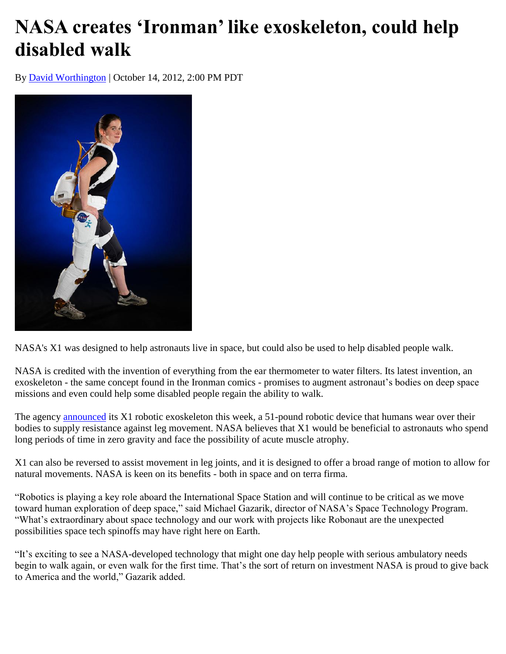## **NASA creates 'Ironman' like exoskeleton, could help disabled walk**

By [David Worthington](http://www.smartplanet.com/search?q=david+worthington) | October 14, 2012, 2:00 PM PDT



NASA's X1 was designed to help astronauts live in space, but could also be used to help disabled people walk.

NASA is credited with the invention of everything from the ear thermometer to water filters. Its latest invention, an exoskeleton - the same concept found in the Ironman comics - promises to augment astronaut's bodies on deep space missions and even could help some disabled people regain the ability to walk.

The agency [announced](http://www.nasa.gov/offices/oct/home/feature_exoskeleton.html) its X1 robotic exoskeleton this week, a 51-pound robotic device that humans wear over their bodies to supply resistance against leg movement. NASA believes that X1 would be beneficial to astronauts who spend long periods of time in zero gravity and face the possibility of acute muscle atrophy.

X1 can also be reversed to assist movement in leg joints, and it is designed to offer a broad range of motion to allow for natural movements. NASA is keen on its benefits - both in space and on terra firma.

"Robotics is playing a key role aboard the International Space Station and will continue to be critical as we move toward human exploration of deep space," said Michael Gazarik, director of NASA's Space Technology Program. "What's extraordinary about space technology and our work with projects like Robonaut are the unexpected possibilities space tech spinoffs may have right here on Earth.

"It's exciting to see a NASA-developed technology that might one day help people with serious ambulatory needs begin to walk again, or even walk for the first time. That's the sort of return on investment NASA is proud to give back to America and the world," Gazarik added.